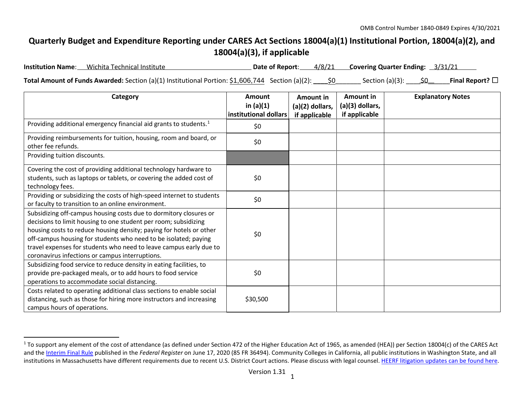## <span id="page-0-0"></span>**Quarterly Budget and Expenditure Reporting under CARES Act Sections 18004(a)(1) Institutional Portion, 18004(a)(2), and 18004(a)(3), if applicable**

| <b>Institution Name:</b> Wichita Technical Institute                                                             |  | Date of Report: 4/8/21 Covering Quarter Ending: 3/31/21 |                         |  |
|------------------------------------------------------------------------------------------------------------------|--|---------------------------------------------------------|-------------------------|--|
| <b>Total Amount of Funds Awarded:</b> Section (a)(1) Institutional Portion: \$1,606,744 Section (a)(2): _____\$0 |  | Section (a)(3): $\underline{\hspace{1cm}}$ \$0________  | Final Report? $\square$ |  |

| Category                                                                                                                                                                                                                                                                                                                                                                                                | Amount<br>in $(a)(1)$<br>institutional dollars | <b>Amount in</b><br>$(a)(2)$ dollars,<br>if applicable | Amount in<br>(a)(3) dollars,<br>if applicable | <b>Explanatory Notes</b> |
|---------------------------------------------------------------------------------------------------------------------------------------------------------------------------------------------------------------------------------------------------------------------------------------------------------------------------------------------------------------------------------------------------------|------------------------------------------------|--------------------------------------------------------|-----------------------------------------------|--------------------------|
| Providing additional emergency financial aid grants to students. <sup>1</sup>                                                                                                                                                                                                                                                                                                                           | \$0                                            |                                                        |                                               |                          |
| Providing reimbursements for tuition, housing, room and board, or<br>other fee refunds.                                                                                                                                                                                                                                                                                                                 | \$0                                            |                                                        |                                               |                          |
| Providing tuition discounts.                                                                                                                                                                                                                                                                                                                                                                            |                                                |                                                        |                                               |                          |
| Covering the cost of providing additional technology hardware to<br>students, such as laptops or tablets, or covering the added cost of<br>technology fees.                                                                                                                                                                                                                                             | \$0                                            |                                                        |                                               |                          |
| Providing or subsidizing the costs of high-speed internet to students<br>or faculty to transition to an online environment.                                                                                                                                                                                                                                                                             | \$0                                            |                                                        |                                               |                          |
| Subsidizing off-campus housing costs due to dormitory closures or<br>decisions to limit housing to one student per room; subsidizing<br>housing costs to reduce housing density; paying for hotels or other<br>off-campus housing for students who need to be isolated; paying<br>travel expenses for students who need to leave campus early due to<br>coronavirus infections or campus interruptions. | \$0                                            |                                                        |                                               |                          |
| Subsidizing food service to reduce density in eating facilities, to<br>provide pre-packaged meals, or to add hours to food service<br>operations to accommodate social distancing.                                                                                                                                                                                                                      | \$0                                            |                                                        |                                               |                          |
| Costs related to operating additional class sections to enable social<br>distancing, such as those for hiring more instructors and increasing<br>campus hours of operations.                                                                                                                                                                                                                            | \$30,500                                       |                                                        |                                               |                          |

<sup>&</sup>lt;sup>1</sup> To support any element of the cost of attendance (as defined under Section 472 of the Higher Education Act of 1965, as amended (HEA)) per Section 18004(c) of the CARES Act and th[e Interim Final Rule](https://www.federalregister.gov/documents/2020/06/17/2020-12965/eligibility-of-students-at-institutions-of-higher-education-for-funds-under-the-coronavirus-aid) published in the *Federal Register* on June 17, 2020 (85 FR 36494). Community Colleges in California, all public institutions in Washington State, and all institutions in Massachusetts have different requirements due to recent U.S. District Court actions. Please discuss with legal counsel[. HEERF litigation updates can be found here.](https://www2.ed.gov/about/offices/list/ope/heerfupdates.html)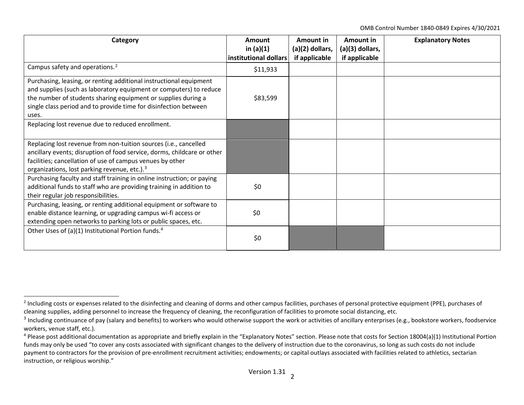<span id="page-1-2"></span><span id="page-1-1"></span><span id="page-1-0"></span>OMB Control Number 1840-0849 Expires 4/30/2021

| Category                                                                                                                                                                                                                                                                               | Amount<br>in $(a)(1)$<br>institutional dollars | Amount in<br>(a)(2) dollars,<br>if applicable | Amount in<br>(a)(3) dollars,<br>if applicable | <b>Explanatory Notes</b> |
|----------------------------------------------------------------------------------------------------------------------------------------------------------------------------------------------------------------------------------------------------------------------------------------|------------------------------------------------|-----------------------------------------------|-----------------------------------------------|--------------------------|
| Campus safety and operations. <sup>2</sup>                                                                                                                                                                                                                                             | \$11,933                                       |                                               |                                               |                          |
| Purchasing, leasing, or renting additional instructional equipment<br>and supplies (such as laboratory equipment or computers) to reduce<br>the number of students sharing equipment or supplies during a<br>single class period and to provide time for disinfection between<br>uses. | \$83,599                                       |                                               |                                               |                          |
| Replacing lost revenue due to reduced enrollment.                                                                                                                                                                                                                                      |                                                |                                               |                                               |                          |
| Replacing lost revenue from non-tuition sources (i.e., cancelled<br>ancillary events; disruption of food service, dorms, childcare or other<br>facilities; cancellation of use of campus venues by other<br>organizations, lost parking revenue, etc.). <sup>3</sup>                   |                                                |                                               |                                               |                          |
| Purchasing faculty and staff training in online instruction; or paying<br>additional funds to staff who are providing training in addition to<br>their regular job responsibilities.                                                                                                   | \$0                                            |                                               |                                               |                          |
| Purchasing, leasing, or renting additional equipment or software to<br>enable distance learning, or upgrading campus wi-fi access or<br>extending open networks to parking lots or public spaces, etc.                                                                                 | \$0                                            |                                               |                                               |                          |
| Other Uses of (a)(1) Institutional Portion funds. <sup>4</sup>                                                                                                                                                                                                                         | \$0                                            |                                               |                                               |                          |

<sup>&</sup>lt;sup>2</sup> Including costs or expenses related to the disinfecting and cleaning of dorms and other campus facilities, purchases of personal protective equipment (PPE), purchases of cleaning supplies, adding personnel to increase the frequency of cleaning, the reconfiguration of facilities to promote social distancing, etc.

<sup>&</sup>lt;sup>3</sup> Including continuance of pay (salary and benefits) to workers who would otherwise support the work or activities of ancillary enterprises (e.g., bookstore workers, foodservice workers, venue staff, etc.).

 $4$  Please post additional documentation as appropriate and briefly explain in the "Explanatory Notes" section. Please note that costs for Section 18004(a)(1) Institutional Portion funds may only be used "to cover any costs associated with significant changes to the delivery of instruction due to the coronavirus, so long as such costs do not include payment to contractors for the provision of pre-enrollment recruitment activities; endowments; or capital outlays associated with facilities related to athletics, sectarian instruction, or religious worship."